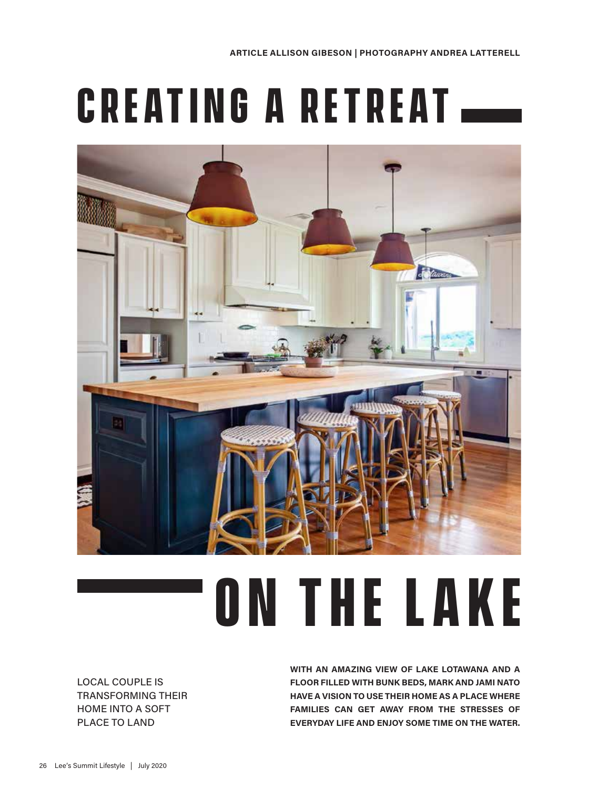## **Creating a retreat**



## **on the lake**

LOCAL COUPLE IS TRANSFORMING THEIR HOME INTO A SOFT PLACE TO LAND

**WITH AN AMAZING VIEW OF LAKE LOTAWANA AND A FLOOR FILLED WITH BUNK BEDS, MARK AND JAMI NATO HAVE A VISION TO USE THEIR HOME AS A PLACE WHERE FAMILIES CAN GET AWAY FROM THE STRESSES OF EVERYDAY LIFE AND ENJOY SOME TIME ON THE WATER.**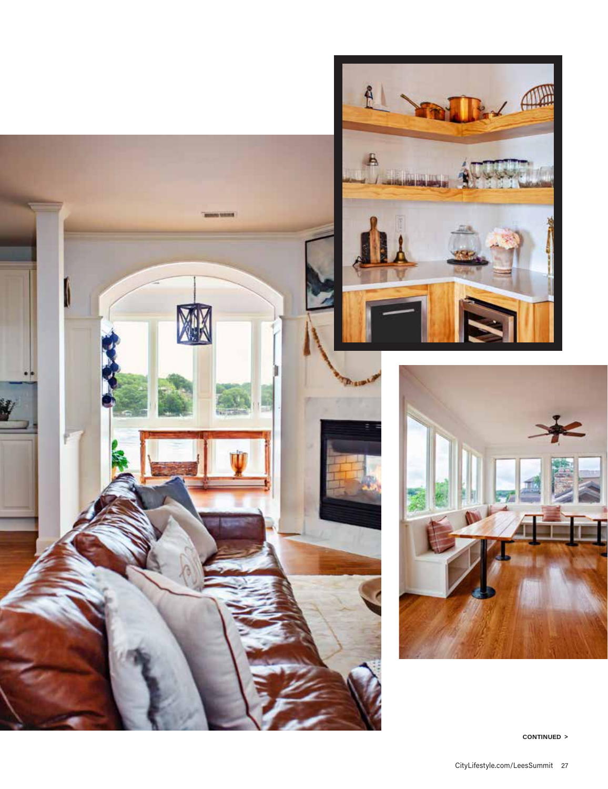





**CONTINUED >**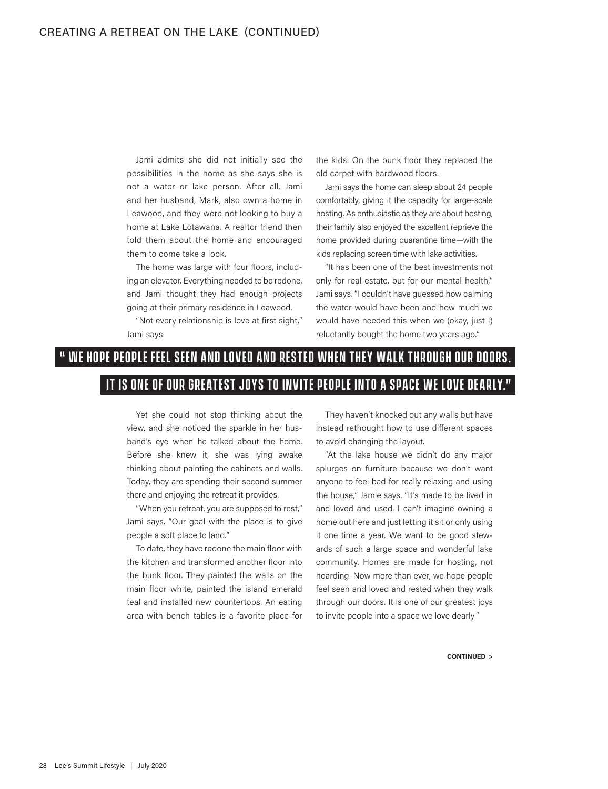Jami admits she did not initially see the possibilities in the home as she says she is not a water or lake person. After all, Jami and her husband, Mark, also own a home in Leawood, and they were not looking to buy a home at Lake Lotawana. A realtor friend then told them about the home and encouraged them to come take a look.

The home was large with four floors, including an elevator. Everything needed to be redone, and Jami thought they had enough projects going at their primary residence in Leawood.

"Not every relationship is love at first sight," Jami says.

the kids. On the bunk floor they replaced the old carpet with hardwood floors.

Jami says the home can sleep about 24 people comfortably, giving it the capacity for large-scale hosting. As enthusiastic as they are about hosting, their family also enjoyed the excellent reprieve the home provided during quarantine time—with the kids replacing screen time with lake activities.

"It has been one of the best investments not only for real estate, but for our mental health," Jami says. "I couldn't have guessed how calming the water would have been and how much we would have needed this when we (okay, just I) reluctantly bought the home two years ago."

## **" we hope people feel seen and loved and r ested when they walk through our doors. It is one of our greatest joys to invite people into a space we love dearly."**

Yet she could not stop thinking about the view, and she noticed the sparkle in her husband's eye when he talked about the home. Before she knew it, she was lying awake thinking about painting the cabinets and walls. Today, they are spending their second summer there and enjoying the retreat it provides.

"When you retreat, you are supposed to rest," Jami says. "Our goal with the place is to give people a soft place to land."

To date, they have redone the main floor with the kitchen and transformed another floor into the bunk floor. They painted the walls on the main floor white, painted the island emerald teal and installed new countertops. An eating area with bench tables is a favorite place for

They haven't knocked out any walls but have instead rethought how to use different spaces to avoid changing the layout.

"At the lake house we didn't do any major splurges on furniture because we don't want anyone to feel bad for really relaxing and using the house," Jamie says. "It's made to be lived in and loved and used. I can't imagine owning a home out here and just letting it sit or only using it one time a year. We want to be good stewards of such a large space and wonderful lake community. Homes are made for hosting, not hoarding. Now more than ever, we hope people feel seen and loved and rested when they walk through our doors. It is one of our greatest joys to invite people into a space we love dearly."

**CONTINUED >**